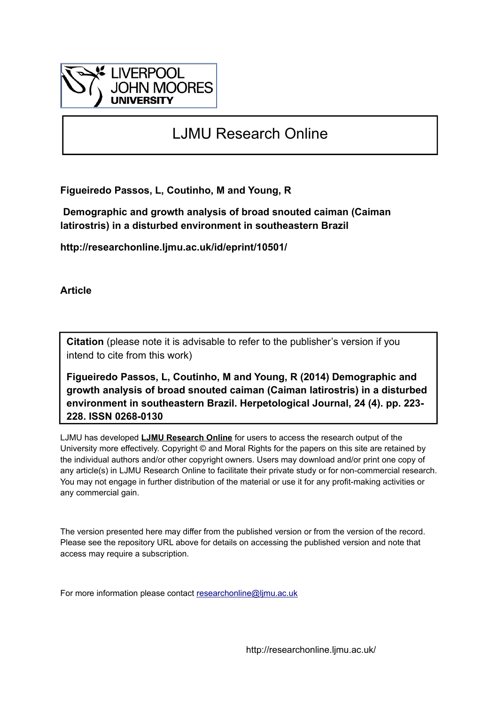

# LJMU Research Online

**Figueiredo Passos, L, Coutinho, M and Young, R**

 **Demographic and growth analysis of broad snouted caiman (Caiman latirostris) in a disturbed environment in southeastern Brazil**

**http://researchonline.ljmu.ac.uk/id/eprint/10501/**

**Article**

**Citation** (please note it is advisable to refer to the publisher's version if you intend to cite from this work)

**Figueiredo Passos, L, Coutinho, M and Young, R (2014) Demographic and growth analysis of broad snouted caiman (Caiman latirostris) in a disturbed environment in southeastern Brazil. Herpetological Journal, 24 (4). pp. 223- 228. ISSN 0268-0130** 

LJMU has developed **[LJMU Research Online](http://researchonline.ljmu.ac.uk/)** for users to access the research output of the University more effectively. Copyright © and Moral Rights for the papers on this site are retained by the individual authors and/or other copyright owners. Users may download and/or print one copy of any article(s) in LJMU Research Online to facilitate their private study or for non-commercial research. You may not engage in further distribution of the material or use it for any profit-making activities or any commercial gain.

The version presented here may differ from the published version or from the version of the record. Please see the repository URL above for details on accessing the published version and note that access may require a subscription.

For more information please contact [researchonline@ljmu.ac.uk](mailto:researchonline@ljmu.ac.uk)

http://researchonline.ljmu.ac.uk/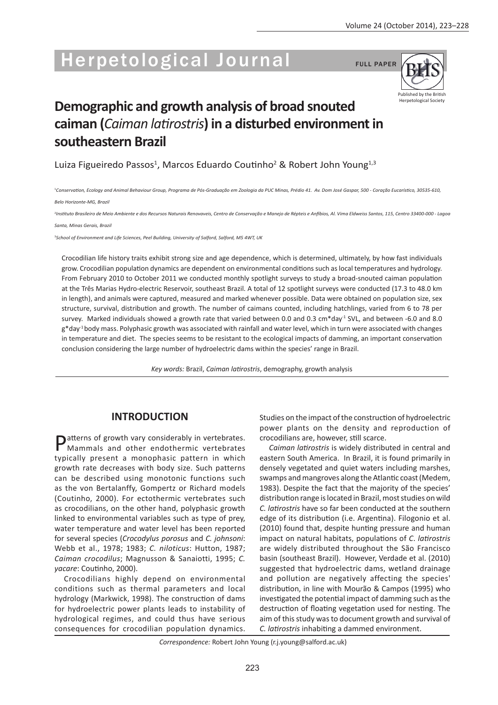# Herpetological Journal FULL PAPER



# **Demographic and growth analysis of broad snouted caiman (***Caiman latirostris***) in a disturbed environment in southeastern Brazil**

Luiza Figueiredo Passos<sup>1</sup>, Marcos Eduardo Coutinho<sup>2</sup> & Robert John Young<sup>1,3</sup>

1 *Conservation, Ecology and Animal Behaviour Group, Programa de Pós-Graduação em Zoologia da PUC Minas, Prédio 41. Av. Dom José Gaspar, 500 - Coração Eucarístico, 30535-610,*

*Belo Horizonte-MG, Brazil*

<sup>2</sup>Instituto Brasileiro de Meio Ambiente e dos Recursos Naturais Renovaveis, Centro de Conservação e Manejo de Répteis e Anfíbios, Al. Vima Eldweiss Santos, 115, Centro 33400-000 - Lagoa

*Santa, Minas Gerais, Brazil*

3 *School of Environment and Life Sciences, Peel Building, University of Salford, Salford, M5 4WT, UK*

Crocodilian life history traits exhibit strong size and age dependence, which is determined, ultimately, by how fast individuals grow. Crocodilian population dynamics are dependent on environmental conditions such as local temperatures and hydrology. From February 2010 to October 2011 we conducted monthly spotlight surveys to study a broad-snouted caiman population at the Três Marias Hydro-electric Reservoir, southeast Brazil. A total of 12 spotlight surveys were conducted (17.3 to 48.0 km in length), and animals were captured, measured and marked whenever possible. Data were obtained on population size, sex structure, survival, distribution and growth. The number of caimans counted, including hatchlings, varied from 6 to 78 per survey. Marked individuals showed a growth rate that varied between 0.0 and 0.3 cm\*day<sup>-1</sup> SVL, and between -6.0 and 8.0 g\*day-1 body mass. Polyphasic growth was associated with rainfall and water level, which in turn were associated with changes in temperature and diet. The species seems to be resistant to the ecological impacts of damming, an important conservation conclusion considering the large number of hydroelectric dams within the species' range in Brazil.

*Key words:* Brazil, *Caiman latirostris*, demography, growth analysis

# **INTRODUCTION**

Datterns of growth vary considerably in vertebrates. Mammals and other endothermic vertebrates typically present a monophasic pattern in which growth rate decreases with body size. Such patterns can be described using monotonic functions such as the von Bertalanffy, Gompertz or Richard models (Coutinho, 2000). For ectothermic vertebrates such as crocodilians, on the other hand, polyphasic growth linked to environmental variables such as type of prey, water temperature and water level has been reported for several species (*Crocodylus porosus* and *C. johnsoni*: Webb et al., 1978; 1983; *C. niloticus*: Hutton, 1987; *Caiman crocodilus*; Magnusson & Sanaiotti, 1995; *C. yacare*: Coutinho, 2000).

Crocodilians highly depend on environmental conditions such as thermal parameters and local hydrology (Markwick, 1998). The construction of dams for hydroelectric power plants leads to instability of hydrological regimes, and could thus have serious consequences for crocodilian population dynamics.

Studies on the impact of the construction of hydroelectric power plants on the density and reproduction of crocodilians are, however, still scarce.

*Caiman latirostris* is widely distributed in central and eastern South America. In Brazil, it is found primarily in densely vegetated and quiet waters including marshes, swamps and mangroves along the Atlantic coast (Medem, 1983). Despite the fact that the majority of the species' distribution range is located in Brazil, most studies on wild *C. latirostris* have so far been conducted at the southern edge of its distribution (i.e. Argentina). Filogonio et al. (2010) found that, despite hunting pressure and human impact on natural habitats, populations of *C*. *latirostris* are widely distributed throughout the São Francisco basin (southeast Brazil). However, Verdade et al. (2010) suggested that hydroelectric dams, wetland drainage and pollution are negatively affecting the species' distribution, in line with Mourão & Campos (1995) who investigated the potential impact of damming such as the destruction of floating vegetation used for nesting. The aim of this study was to document growth and survival of *C. latirostris* inhabiting a dammed environment.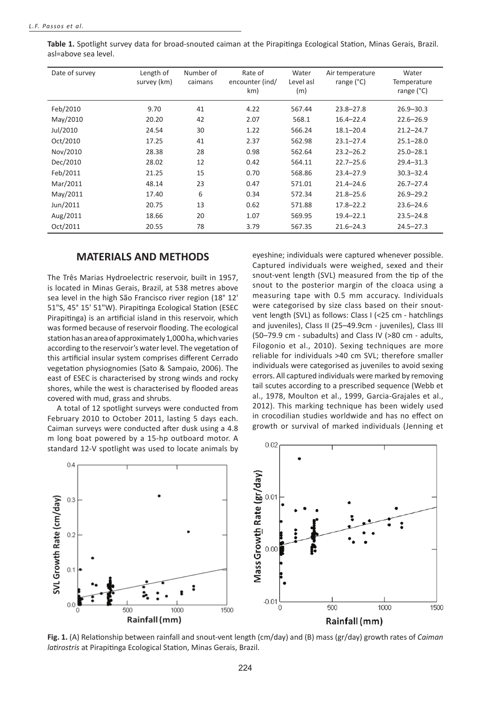| Date of survey | Length of<br>survey (km) | Number of<br>caimans | Rate of<br>encounter (ind/<br>km) | Water<br>Level asl<br>(m) | Air temperature<br>range (°C) | Water<br>Temperature<br>range $(^{\circ}C)$ |
|----------------|--------------------------|----------------------|-----------------------------------|---------------------------|-------------------------------|---------------------------------------------|
| Feb/2010       | 9.70                     | 41                   | 4.22                              | 567.44                    | $23.8 - 27.8$                 | $26.9 - 30.3$                               |
| May/2010       | 20.20                    | 42                   | 2.07                              | 568.1                     | $16.4 - 22.4$                 | $22.6 - 26.9$                               |
| Jul/2010       | 24.54                    | 30                   | 1.22                              | 566.24                    | $18.1 - 20.4$                 | $21.2 - 24.7$                               |
| Oct/2010       | 17.25                    | 41                   | 2.37                              | 562.98                    | $23.1 - 27.4$                 | $25.1 - 28.0$                               |
| Nov/2010       | 28.38                    | 28                   | 0.98                              | 562.64                    | $23.2 - 26.2$                 | $25.0 - 28.1$                               |
| Dec/2010       | 28.02                    | 12                   | 0.42                              | 564.11                    | $22.7 - 25.6$                 | $29.4 - 31.3$                               |
| Feb/2011       | 21.25                    | 15                   | 0.70                              | 568.86                    | $23.4 - 27.9$                 | $30.3 - 32.4$                               |
| Mar/2011       | 48.14                    | 23                   | 0.47                              | 571.01                    | $21.4 - 24.6$                 | $26.7 - 27.4$                               |
| May/2011       | 17.40                    | 6                    | 0.34                              | 572.34                    | $21.8 - 25.6$                 | $26.9 - 29.2$                               |
| Jun/2011       | 20.75                    | 13                   | 0.62                              | 571.88                    | $17.8 - 22.2$                 | $23.6 - 24.6$                               |
| Aug/2011       | 18.66                    | 20                   | 1.07                              | 569.95                    | $19.4 - 22.1$                 | $23.5 - 24.8$                               |
| Oct/2011       | 20.55                    | 78                   | 3.79                              | 567.35                    | $21.6 - 24.3$                 | $24.5 - 27.3$                               |

**Table 1.** Spotlight survey data for broad-snouted caiman at the Pirapitinga Ecological Station, Minas Gerais, Brazil. asl=above sea level.

## **MATERIALS AND METHODS**

The Três Marias Hydroelectric reservoir, built in 1957, is located in Minas Gerais, Brazil, at 538 metres above sea level in the high São Francisco river region (18° 12' 51"S, 45° 15' 51"W). Pirapitinga Ecological Station (ESEC Pirapitinga) is an artificial island in this reservoir, which was formed because of reservoir flooding. The ecological station has an area of approximately 1,000 ha, which varies according to the reservoir's water level. The vegetation of this artificial insular system comprises different Cerrado vegetation physiognomies (Sato & Sampaio, 2006). The east of ESEC is characterised by strong winds and rocky shores, while the west is characterised by flooded areas covered with mud, grass and shrubs.

A total of 12 spotlight surveys were conducted from February 2010 to October 2011, lasting 5 days each. Caiman surveys were conducted after dusk using a 4.8 m long boat powered by a 15-hp outboard motor. A standard 12-V spotlight was used to locate animals by

eyeshine; individuals were captured whenever possible. Captured individuals were weighed, sexed and their snout-vent length (SVL) measured from the tip of the snout to the posterior margin of the cloaca using a measuring tape with 0.5 mm accuracy. Individuals were categorised by size class based on their snoutvent length (SVL) as follows: Class I (<25 cm - hatchlings and juveniles), Class II (25–49.9cm - juveniles), Class III (50–79.9 cm - subadults) and Class IV (>80 cm - adults, Filogonio et al., 2010). Sexing techniques are more reliable for individuals >40 cm SVL; therefore smaller individuals were categorised as juveniles to avoid sexing errors. All captured individuals were marked by removing tail scutes according to a prescribed sequence (Webb et al., 1978, Moulton et al., 1999, Garcia-Grajales et al., 2012). This marking technique has been widely used in crocodilian studies worldwide and has no effect on growth or survival of marked individuals (Jenning et



**Fig. 1.** (A) Relationship between rainfall and snout-vent length (cm/day) and (B) mass (gr/day) growth rates of *Caiman latirostris* at Pirapitinga Ecological Station, Minas Gerais, Brazil.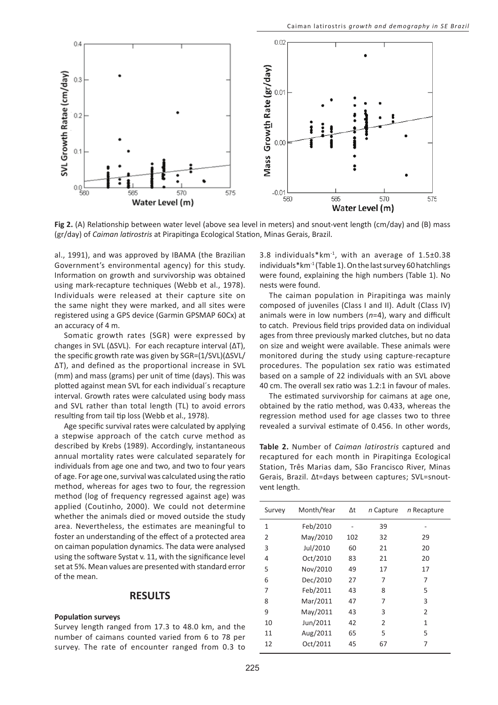

**Fig 2.** (A) Relationship between water level (above sea level in meters) and snout-vent length (cm/day) and (B) mass (gr/day) of *Caiman latirostris* at Pirapitinga Ecological Station, Minas Gerais, Brazil.

al., 1991), and was approved by IBAMA (the Brazilian Government's environmental agency) for this study. Information on growth and survivorship was obtained using mark-recapture techniques (Webb et al., 1978). Individuals were released at their capture site on the same night they were marked, and all sites were registered using a GPS device (Garmin GPSMAP 60Cx) at an accuracy of 4 m.

Somatic growth rates (SGR) were expressed by changes in SVL (ΔSVL). For each recapture interval (ΔT), the specific growth rate was given by SGR=(1/SVL)(ΔSVL/ ΔT), and defined as the proportional increase in SVL (mm) and mass (grams) per unit of time (days). This was plotted against mean SVL for each individual´s recapture interval. Growth rates were calculated using body mass and SVL rather than total length (TL) to avoid errors resulting from tail tip loss (Webb et al., 1978).

Age specific survival rates were calculated by applying a stepwise approach of the catch curve method as described by Krebs (1989). Accordingly, instantaneous annual mortality rates were calculated separately for individuals from age one and two, and two to four years of age. For age one, survival was calculated using the ratio method, whereas for ages two to four, the regression method (log of frequency regressed against age) was applied (Coutinho, 2000). We could not determine whether the animals died or moved outside the study area. Nevertheless, the estimates are meaningful to foster an understanding of the effect of a protected area on caiman population dynamics. The data were analysed using the software Systat v. 11, with the significance level set at 5%. Mean values are presented with standard error of the mean.

#### **RESULTS**

#### **Population surveys**

Survey length ranged from 17.3 to 48.0 km, and the number of caimans counted varied from 6 to 78 per survey. The rate of encounter ranged from 0.3 to 3.8 individuals\*km-1, with an average of 1.5±0.38 individuals $*$ km<sup>-1</sup> (Table 1). On the last survey 60 hatchlings were found, explaining the high numbers (Table 1). No nests were found.

The caiman population in Pirapitinga was mainly composed of juveniles (Class I and II). Adult (Class IV) animals were in low numbers (*n*=4), wary and difficult to catch. Previous field trips provided data on individual ages from three previously marked clutches, but no data on size and weight were available. These animals were monitored during the study using capture-recapture procedures. The population sex ratio was estimated based on a sample of 22 individuals with an SVL above 40 cm. The overall sex ratio was 1.2:1 in favour of males.

The estimated survivorship for caimans at age one, obtained by the ratio method, was 0.433, whereas the regression method used for age classes two to three revealed a survival estimate of 0.456. In other words,

**Table 2.** Number of *Caiman latirostris* captured and recaptured for each month in Pirapitinga Ecological Station, Três Marias dam, São Francisco River, Minas Gerais, Brazil. Δt=days between captures; SVL=snoutvent length.

| Survey         | Month/Year | Δt  | n Capture | n Recapture    |
|----------------|------------|-----|-----------|----------------|
| 1              | Feb/2010   |     | 39        |                |
| $\overline{2}$ | May/2010   | 102 | 32        | 29             |
| 3              | Jul/2010   | 60  | 21        | 20             |
| 4              | Oct/2010   | 83  | 21        | 20             |
| 5              | Nov/2010   | 49  | 17        | 17             |
| 6              | Dec/2010   | 27  | 7         | 7              |
| 7              | Feb/2011   | 43  | 8         | 5              |
| 8              | Mar/2011   | 47  | 7         | 3              |
| 9              | May/2011   | 43  | 3         | $\overline{2}$ |
| 10             | Jun/2011   | 42  | 2         | 1              |
| 11             | Aug/2011   | 65  | 5         | 5              |
| 12             | Oct/2011   | 45  | 67        | 7              |
|                |            |     |           |                |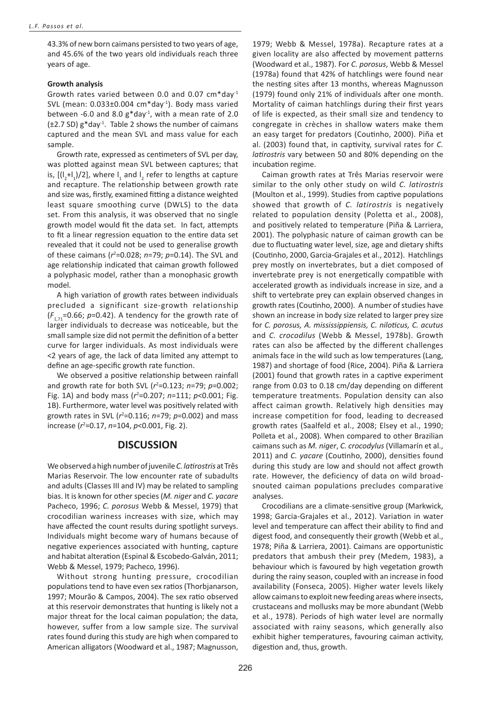43.3% of new born caimans persisted to two years of age, and 45.6% of the two years old individuals reach three years of age.

#### **Growth analysis**

Growth rates varied between 0.0 and 0.07 cm\*day-1 SVL (mean:  $0.033\pm0.004$  cm\*day<sup>-1</sup>). Body mass varied between -6.0 and 8.0  $g^*$ day<sup>-1</sup>, with a mean rate of 2.0  $(\pm 2.7 S_D)$  g\*day<sup>-1</sup>. Table 2 shows the number of caimans captured and the mean SVL and mass value for each sample.

Growth rate, expressed as centimeters of SVL per day, was plotted against mean SVL between captures; that is,  $[(I_2+I_1)/2]$ , where  $I_1$  and  $I_2$  refer to lengths at capture and recapture. The relationship between growth rate and size was, firstly, examined fitting a distance weighted least square smoothing curve (DWLS) to the data set. From this analysis, it was observed that no single growth model would fit the data set. In fact, attempts to fit a linear regression equation to the entire data set revealed that it could not be used to generalise growth of these caimans ( $r^2$ =0.028;  $n=$ 79;  $p$ =0.14). The SVL and age relationship indicated that caiman growth followed a polyphasic model, rather than a monophasic growth model.

A high variation of growth rates between individuals precluded a significant size-growth relationship  $(F_{1,71}=0.66; p=0.42)$ . A tendency for the growth rate of larger individuals to decrease was noticeable, but the small sample size did not permit the definition of a better curve for larger individuals. As most individuals were <2 years of age, the lack of data limited any attempt to define an age-specific growth rate function.

We observed a positive relationship between rainfall and growth rate for both SVL (*r*<sup>2</sup> =0.123; *n*=79; *p*=0.002; Fig. 1A) and body mass ( $r^2$ =0.207;  $n=$ 111;  $p$ <0.001; Fig. 1B). Furthermore, water level was positively related with growth rates in SVL (*r*<sup>2</sup> =0.116; *n*=79; *p*=0.002) and mass increase (*r*<sup>2</sup> =0.17, *n*=104, *p*<0.001, Fig. 2).

## **DISCUSSION**

We observed a high number of juvenile *C. latirostris* at Três Marias Reservoir. The low encounter rate of subadults and adults (Classes III and IV) may be related to sampling bias. It is known for other species (*M. niger* and *C. yacare* Pacheco, 1996; *C. porosus* Webb & Messel, 1979) that crocodilian wariness increases with size, which may have affected the count results during spotlight surveys. Individuals might become wary of humans because of negative experiences associated with hunting, capture and habitat alteration (Espinal & Escobedo-Galván, 2011; Webb & Messel, 1979; Pacheco, 1996).

Without strong hunting pressure, crocodilian populations tend to have even sex ratios (Thorbjanarson, 1997; Mourão & Campos, 2004). The sex ratio observed at this reservoir demonstrates that hunting is likely not a major threat for the local caiman population; the data, however, suffer from a low sample size. The survival rates found during this study are high when compared to American alligators (Woodward et al., 1987; Magnusson,

1979; Webb & Messel, 1978a). Recapture rates at a given locality are also affected by movement patterns (Woodward et al., 1987). For *C. porosus*, Webb & Messel (1978a) found that 42% of hatchlings were found near the nesting sites after 13 months, whereas Magnusson (1979) found only 21% of individuals after one month. Mortality of caiman hatchlings during their first years of life is expected, as their small size and tendency to congregate in crèches in shallow waters make them an easy target for predators (Coutinho, 2000). Piña et al. (2003) found that, in captivity, survival rates for *C. latirostris* vary between 50 and 80% depending on the incubation regime.

Caiman growth rates at Três Marias reservoir were similar to the only other study on wild *C. latirostris* (Moulton et al., 1999). Studies from captive populations showed that growth of *C. latirostris* is negatively related to population density (Poletta et al., 2008), and positively related to temperature (Piña & Larriera, 2001). The polyphasic nature of caiman growth can be due to fluctuating water level, size, age and dietary shifts (Coutinho, 2000, Garcia-Grajales et al., 2012). Hatchlings prey mostly on invertebrates, but a diet composed of invertebrate prey is not energetically compatible with accelerated growth as individuals increase in size, and a shift to vertebrate prey can explain observed changes in growth rates (Coutinho, 2000). A number of studies have shown an increase in body size related to larger prey size for *C. porosus, A. mississippiensis, C. niloticus, C. acutus*  and *C. crocodilus* (Webb & Messel, 1978b). Growth rates can also be affected by the different challenges animals face in the wild such as low temperatures (Lang, 1987) and shortage of food (Rice, 2004). Piña & Larriera (2001) found that growth rates in a captive experiment range from 0.03 to 0.18 cm/day depending on different temperature treatments. Population density can also affect caiman growth. Relatively high densities may increase competition for food, leading to decreased growth rates (Saalfeld et al., 2008; Elsey et al., 1990; Polleta et al., 2008). When compared to other Brazilian caimans such as *M. niger*, *C. crocodylus* (Villamarín et al., 2011) and *C. yacare* (Coutinho, 2000), densities found during this study are low and should not affect growth rate. However, the deficiency of data on wild broadsnouted caiman populations precludes comparative analyses.

Crocodilians are a climate-sensitive group (Markwick, 1998; Garcia-Grajales et al., 2012). Variation in water level and temperature can affect their ability to find and digest food, and consequently their growth (Webb et al., 1978; Piña & Larriera, 2001). Caimans are opportunistic predators that ambush their prey (Medem, 1983), a behaviour which is favoured by high vegetation growth during the rainy season, coupled with an increase in food availability (Fonseca, 2005). Higher water levels likely allow caimans to exploit new feeding areas where insects, crustaceans and mollusks may be more abundant (Webb et al., 1978). Periods of high water level are normally associated with rainy seasons, which generally also exhibit higher temperatures, favouring caiman activity, digestion and, thus, growth.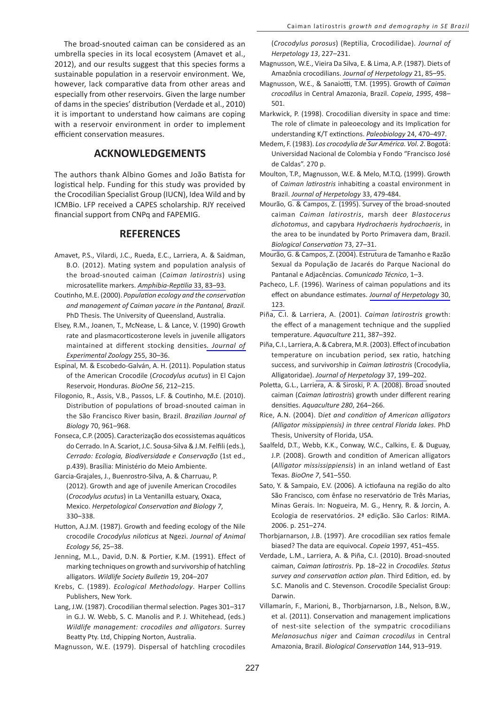The broad-snouted caiman can be considered as an umbrella species in its local ecosystem (Amavet et al., 2012), and our results suggest that this species forms a sustainable population in a reservoir environment. We, however, lack comparative data from other areas and especially from other reservoirs. Given the large number of dams in the species' distribution (Verdade et al., 2010) it is important to understand how caimans are coping with a reservoir environment in order to implement efficient conservation measures.

# **ACKNOWLEDGEMENTS**

The authors thank Albino Gomes and João Batista for logistical help. Funding for this study was provided by the Crocodilian Specialist Group (IUCN), Idea Wild and by ICMBio. LFP received a CAPES scholarship. RJY received financial support from CNPq and FAPEMIG.

## **REFERENCES**

- Amavet, P.S., Vilardi, J.C., Rueda, E.C., Larriera, A. & Saidman, B.O. (2012). Mating system and population analysis of the broad-snouted caiman (*Caiman latirostris*) using microsatellite markers. *[Amphibia-Reptilia](http://www.ingentaconnect.com/content/external-references?article=0173-5373()33L.83[aid=10378169])* 33, 83–93.
- Coutinho, M.E. (2000). *Population ecology and the conservation and management of Caiman yacare in the Pantanal, Brazil.* PhD Thesis. The University of Queensland, Australia.
- Elsey, R.M., Joanen, T., McNease, L. & Lance, V. (1990) Growth rate and plasmacorticosterone levels in juvenile alligators maintained at different stocking densities*[. Journal of](http://www.ingentaconnect.com/content/external-references?article=0022-104x()255L.30[aid=10378168])  [Experimental Zoology](http://www.ingentaconnect.com/content/external-references?article=0022-104x()255L.30[aid=10378168])* 255, 30–36.
- Espinal, M. & Escobedo-Galván, A. H. (2011). Population status of the American Crocodile (*Crocodylus acutus*) in El Cajon Reservoir, Honduras. *BioOne 56*, 212–215.
- Filogonio, R., Assis, V.B., Passos, L.F. & Coutinho, M.E. (2010). Distribution of populations of broad-snouted caiman in the São Francisco River basin, Brazil. *Brazilian Journal of Biology* 70, 961–968.
- Fonseca, C.P. (2005). Caracterização dos ecossistemas aquáticos do Cerrado. In A. Scariot, J.C. Sousa-Silva & J.M. Felfili (eds.), *Cerrado: Ecologia, Biodiversidade e Conservação* (1st ed., p.439). Brasília: Ministério do Meio Ambiente.
- Garcia-Grajales, J., Buenrostro-Silva, A. & Charruau, P. (2012). Growth and age of juvenile American Crocodiles (*Crocodylus acutus*) in La Ventanilla estuary, Oxaca, Mexico. *Herpetological Conservation and Biology 7*, 330–338.
- Hutton, A.J.M. (1987). Growth and feeding ecology of the Nile crocodile *Crocodylus niloticus* at Ngezi. *Journal of Animal Ecology 56*, 25–38.
- Jenning, M.L., David, D.N. & Portier, K.M. (1991). Effect of marking techniques on growth and survivorship of hatchling alligators. *Wildlife Society Bulletin* 19, 204–207
- Krebs, C. (1989). *Ecological Methodology*. Harper Collins Publishers, New York.
- Lang, J.W. (1987). Crocodilian thermal selection. Pages 301–317 in G.J. W. Webb, S. C. Manolis and P. J. Whitehead, (eds.) *Wildlife management: crocodiles and alligators*. Surrey Beatty Pty. Ltd, Chipping Norton, Australia.

Magnusson, W.E. (1979). Dispersal of hatchling crocodiles

(*Crocodylus porosus*) (Reptilia, Crocodilidae). *Journal of Herpetology 13*, 227–231.

- Magnusson, W.E., Vieira Da Silva, E. & Lima, A.P. (1987). Diets of Amazônia crocodilians. *[Journal of Herpetology](http://www.ingentaconnect.com/content/external-references?article=0022-1511()21L.85[aid=7678942])* 21, 85–95.
- Magnusson, W.E., & Sanaiotti, T.M. (1995). Growth of *Caiman crocodilus* in Central Amazonia, Brazil. *Copeia*, *1995*, 498– 501.
- Markwick, P. (1998). Crocodilian diversity in space and time: The role of climate in paleoecology and its Implication for understanding K/T extinctions. *Paleobiology* [24, 470–497.](http://www.ingentaconnect.com/content/external-references?article=0094-8373()24L.470[aid=2048980])
- Medem, F. (1983). *Los crocodylia de Sur América. Vol. 2*. Bogotá: Universidad Nacional de Colombia y Fondo "Francisco José de Caldas". 270 p.
- Moulton, T.P., Magnusson, W.E. & Melo, M.T.Q. (1999). Growth of *Caiman latirostris* inhabiting a coastal environment in Brazil. *[Journal of Herpetology](http://www.ingentaconnect.com/content/external-references?article=0022-1511()33L.479[aid=10378165])* 33, 479-484.
- Mourão, G. & Campos, Z. (1995). Survey of the broad-snouted caiman *Caiman latirostris*, marsh deer *Blastocerus dichotomus*, and capybara *Hydrochaeris hydrochaeris*, in the area to be inundated by Porto Primavera dam, Brazil. *[Biological Conservation](http://www.ingentaconnect.com/content/external-references?article=0006-3207()73L.27[aid=10378164])* 73, 27–31.
- Mourão, G. & Campos, Z. (2004). Estrutura de Tamanho e Razão Sexual da População de Jacarés do Parque Nacional do Pantanal e Adjacências. *Comunicado Técnico*, 1–3.
- Pacheco, L.F. (1996). Wariness of caiman populations and its effect on abundance estimates. *[Journal of Herpetology](http://www.ingentaconnect.com/content/external-references?article=0022-1511()30L.123[aid=10378163])* 30, [123.](http://www.ingentaconnect.com/content/external-references?article=0022-1511()30L.123[aid=10378163])
- Piña, C.I. & Larriera, A. (2001). *Caiman latirostris* growth: the effect of a management technique and the supplied temperature. *Aquaculture* 211, 387–392.
- Piña, C.I., Larriera, A. & Cabrera, M.R. (2003). Effect of incubation temperature on incubation period, sex ratio, hatching success, and survivorship in *Caiman latirostris* (Crocodylia, Alligatoridae). *[Journal of Herpetology](http://www.ingentaconnect.com/content/external-references?article=0022-1511()37L.199[aid=7651984])* 37, 199–202.
- Poletta, G.L., Larriera, A. & Siroski, P. A. (2008). Broad snouted caiman (*Caiman latirostris*) growth under different rearing densities. *Aquaculture 280*, 264–266.
- Rice, A.N. (2004). D*iet and condition of American alligators (Alligator missippiensis) in three central Florida lakes*. PhD Thesis, University of Florida, USA.
- Saalfeld, D.T., Webb, K.K., Conway, W.C., Calkins, E. & Duguay, J.P. (2008). Growth and condition of American alligators (*Alligator mississippiensis*) in an inland wetland of East Texas. *BioOne 7*, 541–550.
- Sato, Y. & Sampaio, E.V. (2006). A ictiofauna na região do alto São Francisco, com ênfase no reservatório de Três Marias, Minas Gerais. In: Nogueira, M. G., Henry, R. & Jorcin, A. Ecologia de reservatórios. 2ª edição. São Carlos: RIMA. 2006. p. 251–274.
- Thorbjarnarson, J.B. (1997). Are crocodilian sex ratios female biased? The data are equivocal. *Copeia* 1997, 451–455.
- Verdade, L.M., Larriera, A. & Piña, C.I. (2010). Broad-snouted caiman, *Caiman latirostris*. Pp. 18–22 in *Crocodiles. Status survey and conservation action plan*. Third Edition, ed. by S.C. Manolis and C. Stevenson. Crocodile Specialist Group: Darwin.
- Villamarín, F., Marioni, B., Thorbjarnarson, J.B., Nelson, B.W., et al. (2011). Conservation and management implications of nest-site selection of the sympatric crocodilians *Melanosuchus niger* and *Caiman crocodilus* in Central Amazonia, Brazil. *Biological Conservation* 144, 913–919.